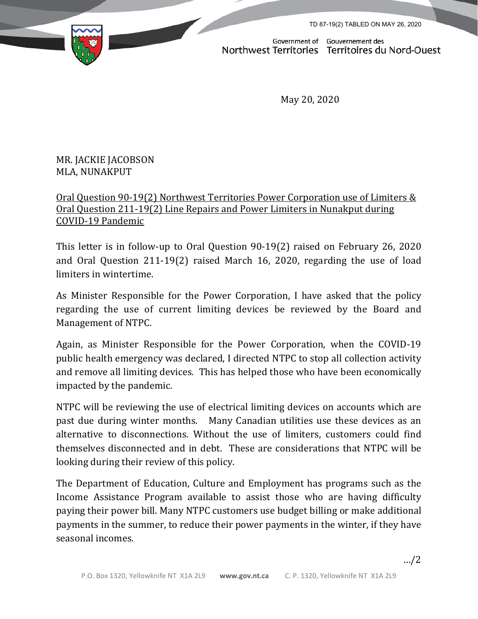TD 87-19(2) TABLED ON MAY 26, 2020



Government of Gouvernement des Northwest Territories Territoires du Nord-Ouest

May 20, 2020

## MR. JACKIE JACOBSON MLA, NUNAKPUT

## Oral Question 90-19(2) Northwest Territories Power Corporation use of Limiters & Oral Question 211-19(2) Line Repairs and Power Limiters in Nunakput during COVID-19 Pandemic

This letter is in follow-up to Oral Question 90-19(2) raised on February 26, 2020 and Oral Question 211-19(2) raised March 16, 2020, regarding the use of load limiters in wintertime.

As Minister Responsible for the Power Corporation, I have asked that the policy regarding the use of current limiting devices be reviewed by the Board and Management of NTPC.

Again, as Minister Responsible for the Power Corporation, when the COVID-19 public health emergency was declared, I directed NTPC to stop all collection activity and remove all limiting devices. This has helped those who have been economically impacted by the pandemic.

NTPC will be reviewing the use of electrical limiting devices on accounts which are past due during winter months. Many Canadian utilities use these devices as an alternative to disconnections. Without the use of limiters, customers could find themselves disconnected and in debt. These are considerations that NTPC will be looking during their review of this policy.

The Department of Education, Culture and Employment has programs such as the Income Assistance Program available to assist those who are having difficulty paying their power bill. Many NTPC customers use budget billing or make additional payments in the summer, to reduce their power payments in the winter, if they have seasonal incomes.